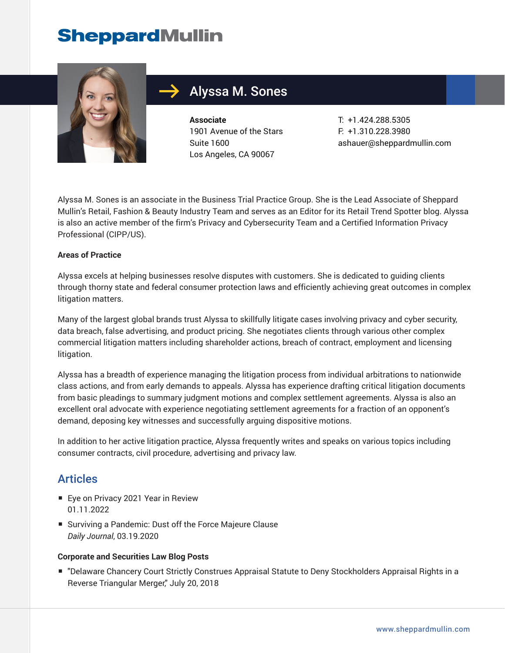# **SheppardMullin**



# Alyssa M. Sones

**Associate** 1901 Avenue of the Stars Suite 1600 Los Angeles, CA 90067

T: +1.424.288.5305 F: +1.310.228.3980 ashauer@sheppardmullin.com

Alyssa M. Sones is an associate in the Business Trial Practice Group. She is the Lead Associate of Sheppard Mullin's Retail, Fashion & Beauty Industry Team and serves as an Editor for its Retail Trend Spotter blog. Alyssa is also an active member of the firm's Privacy and Cybersecurity Team and a Certified Information Privacy Professional (CIPP/US).

#### **Areas of Practice**

Alyssa excels at helping businesses resolve disputes with customers. She is dedicated to guiding clients through thorny state and federal consumer protection laws and efficiently achieving great outcomes in complex litigation matters.

Many of the largest global brands trust Alyssa to skillfully litigate cases involving privacy and cyber security, data breach, false advertising, and product pricing. She negotiates clients through various other complex commercial litigation matters including shareholder actions, breach of contract, employment and licensing litigation.

Alyssa has a breadth of experience managing the litigation process from individual arbitrations to nationwide class actions, and from early demands to appeals. Alyssa has experience drafting critical litigation documents from basic pleadings to summary judgment motions and complex settlement agreements. Alyssa is also an excellent oral advocate with experience negotiating settlement agreements for a fraction of an opponent's demand, deposing key witnesses and successfully arguing dispositive motions.

In addition to her active litigation practice, Alyssa frequently writes and speaks on various topics including consumer contracts, civil procedure, advertising and privacy law.

## Articles

- Eye on Privacy 2021 Year in Review 01.11.2022
- Surviving a Pandemic: Dust off the Force Majeure Clause *Daily Journal*, 03.19.2020

#### **Corporate and Securities Law Blog Posts**

■ "Delaware Chancery Court Strictly Construes Appraisal Statute to Deny Stockholders Appraisal Rights in a Reverse Triangular Merger," July 20, 2018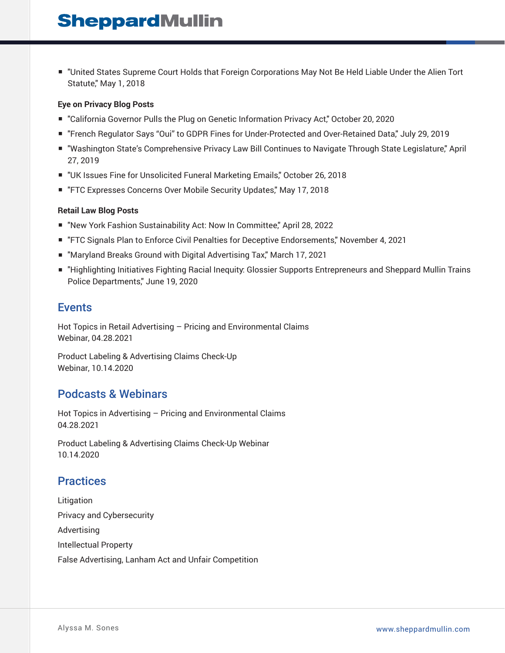■ "United States Supreme Court Holds that Foreign Corporations May Not Be Held Liable Under the Alien Tort Statute," May 1, 2018

#### **Eye on Privacy Blog Posts**

- "California Governor Pulls the Plug on Genetic Information Privacy Act," October 20, 2020
- "French Regulator Says "Oui" to GDPR Fines for Under-Protected and Over-Retained Data," July 29, 2019
- "Washington State's Comprehensive Privacy Law Bill Continues to Navigate Through State Legislature," April 27, 2019
- "UK Issues Fine for Unsolicited Funeral Marketing Emails," October 26, 2018
- "FTC Expresses Concerns Over Mobile Security Updates," May 17, 2018

#### **Retail Law Blog Posts**

- "New York Fashion Sustainability Act: Now In Committee," April 28, 2022
- "FTC Signals Plan to Enforce Civil Penalties for Deceptive Endorsements," November 4, 2021
- "Maryland Breaks Ground with Digital Advertising Tax," March 17, 2021
- "Highlighting Initiatives Fighting Racial Inequity: Glossier Supports Entrepreneurs and Sheppard Mullin Trains Police Departments," June 19, 2020

### Events

Hot Topics in Retail Advertising – Pricing and Environmental Claims Webinar, 04.28.2021

Product Labeling & Advertising Claims Check-Up Webinar, 10.14.2020

## Podcasts & Webinars

Hot Topics in Advertising – Pricing and Environmental Claims 04.28.2021

Product Labeling & Advertising Claims Check-Up Webinar 10.14.2020

## **Practices**

Litigation Privacy and Cybersecurity Advertising Intellectual Property False Advertising, Lanham Act and Unfair Competition